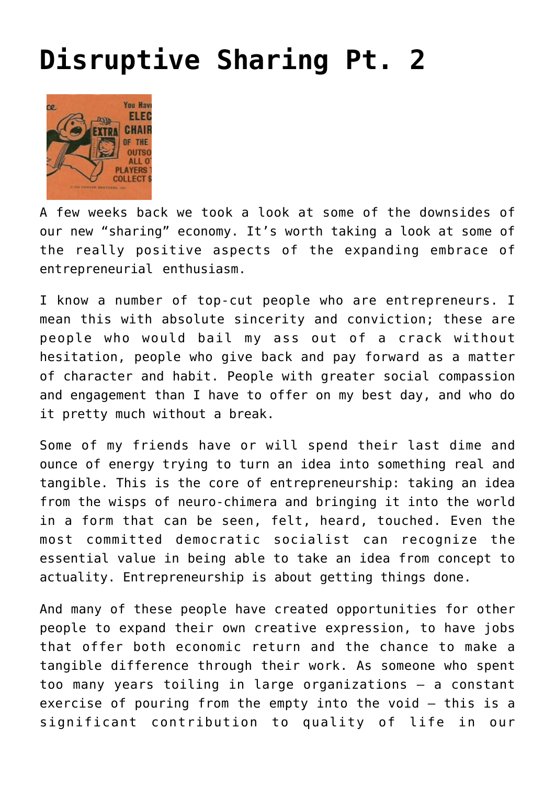## **[Disruptive Sharing Pt. 2](http://www.immunetoboredom.com/disruptive-sharing-pt-2/)**



A few weeks back we [took a look at some of the downsides](http://www.immunetoboredom.com/disruptive-sharing/) of our new "sharing" economy. It's worth taking a look at some of the really positive aspects of the expanding embrace of entrepreneurial enthusiasm.

I know a number of top-cut people who are entrepreneurs. I mean this with absolute sincerity and conviction; these are people who would bail my ass out of a crack without hesitation, people who give back and pay forward as a matter of character and habit. People with greater social compassion and engagement than I have to offer on my best day, and who do it pretty much without a break.

Some of my friends have or will spend their last dime and ounce of energy trying to turn an idea into something real and tangible. This is the core of entrepreneurship: taking an idea from the wisps of neuro-chimera and bringing it into the world in a form that can be seen, felt, heard, touched. Even the most committed democratic socialist can recognize the essential value in being able to take an idea from concept to actuality. Entrepreneurship is about getting things done.

And many of these people have created opportunities for other people to expand their own creative expression, to have jobs that offer both economic return and the chance to make a tangible difference through their work. As someone who spent too many years toiling in large organizations – a constant exercise of pouring from the empty into the void – this is a significant contribution to quality of life in our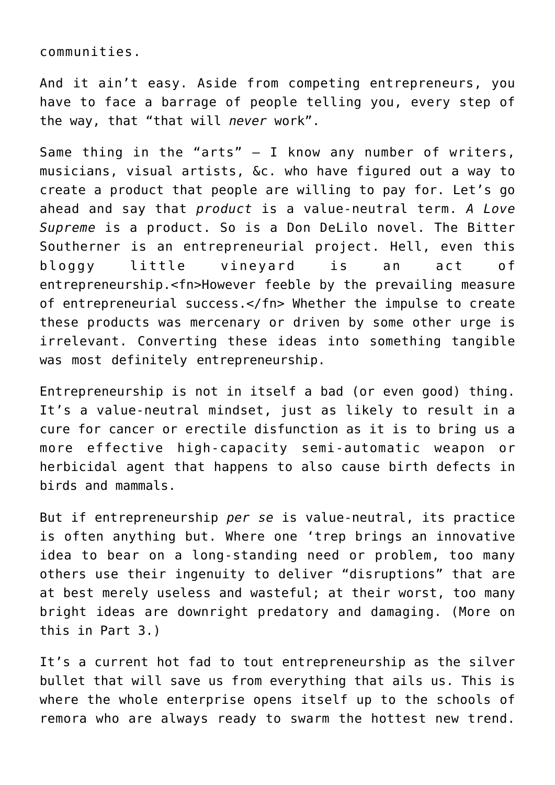communities.

And it ain't easy. Aside from competing entrepreneurs, you have to face a barrage of people telling you, every step of the way, that "that will *never* work".

Same thing in the "arts"  $-$  I know any number of writers, musicians, visual artists, &c. who have figured out a way to create a product that people are willing to pay for. Let's go ahead and say that *product* is a value-neutral term. *A Love Supreme* is a product. So is a Don DeLilo novel. [The Bitter](http://bittersoutherner.com/) [Southerner](http://bittersoutherner.com/) is an entrepreneurial project. Hell, even [this](http://www.immunetoboredom.com/the-immunity-manifesto/) [bloggy little vineyard](http://www.immunetoboredom.com/the-immunity-manifesto/) is an act of entrepreneurship.<fn>However feeble by the prevailing measure of entrepreneurial success.</fn> Whether the impulse to create these products was mercenary or driven by some other urge is irrelevant. Converting these ideas into something tangible was most definitely entrepreneurship.

Entrepreneurship is not in itself a bad (or even good) thing. It's a value-neutral mindset, just as likely to result in a cure for cancer or erectile disfunction as it is to bring us a more effective high-capacity semi-automatic weapon or herbicidal agent that happens to also cause birth defects in birds and mammals.

But if entrepreneurship *per se* is value-neutral, its practice is often anything but. Where one 'trep brings an innovative idea to bear on a long-standing need or problem, too many others use their ingenuity to deliver "disruptions" that are at best merely useless and wasteful; at their worst, too many bright ideas are downright predatory and damaging. (More on this in Part 3.)

It's a current hot fad to tout entrepreneurship as the silver bullet that will save us from everything that ails us. This is where the whole enterprise opens itself up to the schools of remora who are always ready to swarm the hottest new trend.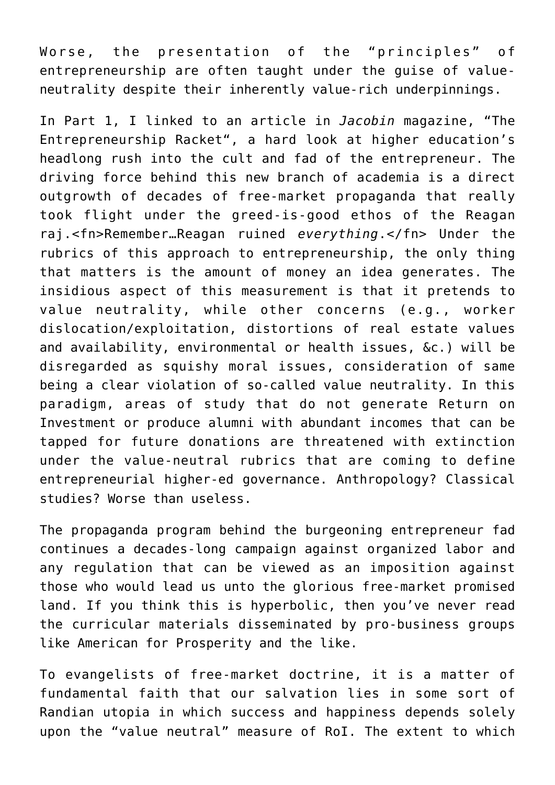Worse, the presentation of the "principles" of entrepreneurship are often taught under the guise of valueneutrality despite their inherently value-rich underpinnings.

In [Part 1,](http://goo.gl/LsHWs9) I linked to an article in *[Jacobin](https://www.jacobinmag.com/)* magazine, "[The](https://www.jacobinmag.com/2016/05/entrepreneurship-innovation-toyotism-college-startups/) [Entrepreneurship Racket](https://www.jacobinmag.com/2016/05/entrepreneurship-innovation-toyotism-college-startups/)", a hard look at higher education's headlong rush into the cult and fad of the entrepreneur. The driving force behind this new branch of academia is a direct outgrowth of decades of free-market propaganda that really took flight under the greed-is-good ethos of the Reagan raj.<fn>Remember…Reagan ruined *everything*.</fn> Under the rubrics of this approach to entrepreneurship, the only thing that matters is the amount of money an idea generates. The insidious aspect of this measurement is that it pretends to value neutrality, while other concerns (e.g., worker dislocation/exploitation, distortions of real estate values and availability, environmental or health issues, &c.) will be disregarded as squishy moral issues, consideration of same being a clear violation of so-called value neutrality. In this paradigm, areas of study that do not generate Return on Investment or produce alumni with abundant incomes that can be tapped for future donations are threatened with extinction under the value-neutral rubrics that are coming to define entrepreneurial higher-ed governance. Anthropology? Classical studies? Worse than useless.

The propaganda program behind the burgeoning entrepreneur fad continues a decades-long campaign against organized labor and any regulation that can be viewed as an imposition against those who would lead us unto the glorious free-market promised land. If you think this is hyperbolic, then you've never read the [curricular materials disseminated by pro-business groups](http://goo.gl/qJdWtI) [like American for Prosperity](http://goo.gl/qJdWtI) and the like.

To evangelists of free-market doctrine, it is a matter of fundamental faith that our salvation lies in some sort of Randian utopia in which success and happiness depends solely upon the "value neutral" measure of RoI. The extent to which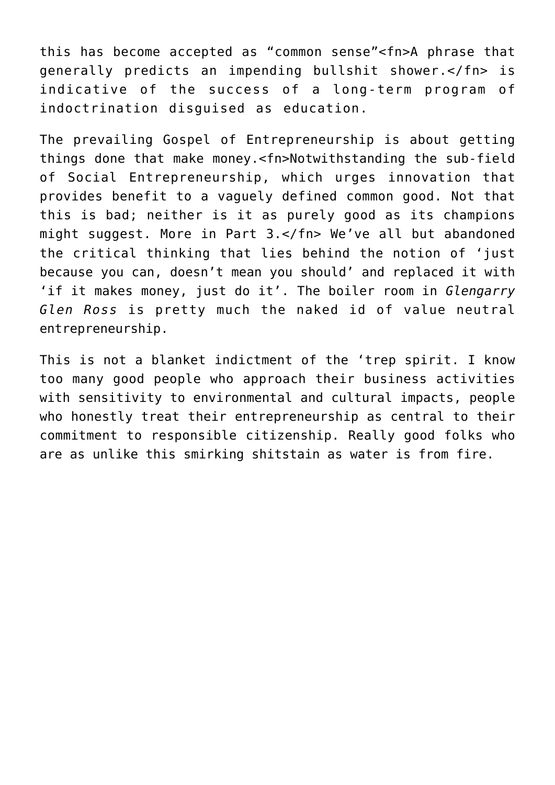this has become accepted as "common sense"<fn>A phrase that generally predicts an impending bullshit shower.</fn> is indicative of the success of a long-term program of indoctrination disguised as education.

The prevailing Gospel of Entrepreneurship is about getting things done that make money.<fn>Notwithstanding the sub-field of Social Entrepreneurship, which urges innovation that provides benefit to a vaguely defined common good. Not that this is bad; neither is it as purely good as its champions might suggest. More in Part 3.</fn> We've all but abandoned the critical thinking that lies behind the notion of 'just because you can, doesn't mean you should' and replaced it with 'if it makes money, just do it'. The boiler room in *Glengarry Glen Ross* is pretty much the naked id of value neutral entrepreneurship.

This is not a blanket indictment of the 'trep spirit. I know too many good people who approach their business activities with sensitivity to environmental and cultural impacts, people who honestly treat their entrepreneurship as central to their commitment to responsible citizenship. Really good folks who are as unlike this smirking shitstain as water is from fire.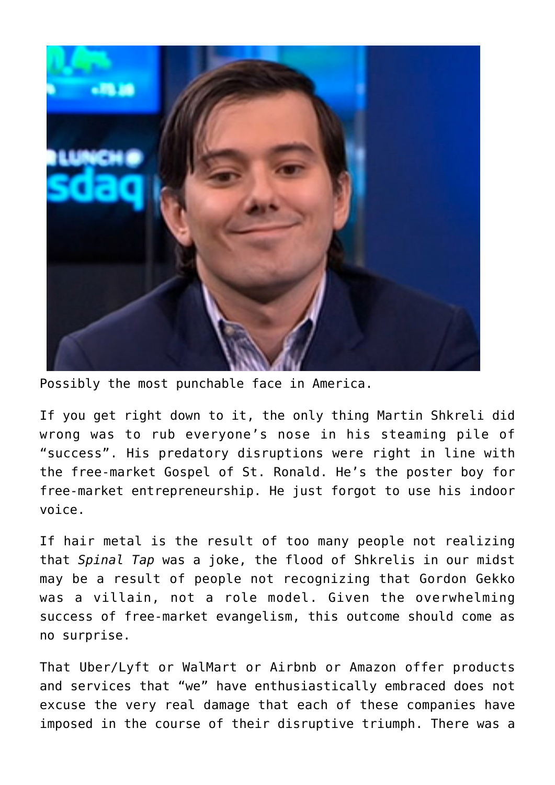

Possibly the most punchable face in America.

If you get right down to it, the only thing Martin Shkreli did wrong was to rub everyone's nose in his steaming pile of "success". His predatory disruptions were right in line with the free-market Gospel of St. Ronald. He's the poster boy for free-market entrepreneurship. He just forgot to use his indoor voice.

If hair metal is the result of too many people not realizing that *Spinal Tap* was a joke, the flood of Shkrelis in our midst may be a result of people not recognizing that Gordon Gekko was a villain, not a role model. Given the overwhelming success of free-market evangelism, this outcome should come as no surprise.

That Uber/Lyft or WalMart or Airbnb or Amazon offer products and services that "we" have enthusiastically embraced does not excuse the very real damage that each of these companies have imposed in the course of their disruptive triumph. There was a